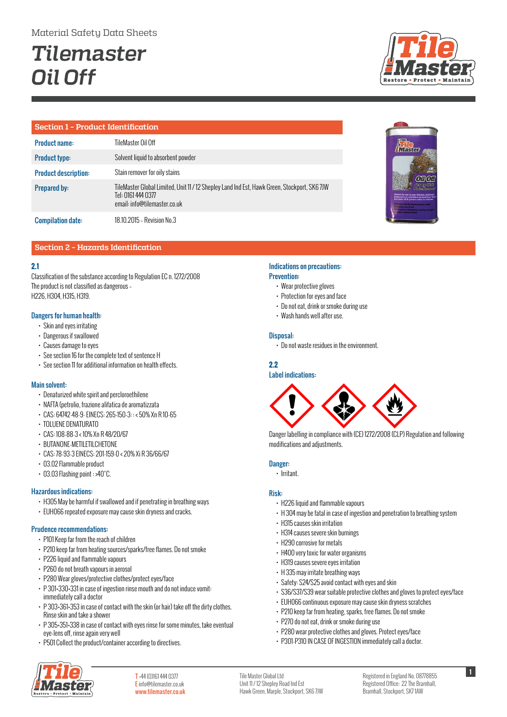# *Tilemaster Oil Off*

## **Section 1 – Product Identification**

| <b>Product name:</b>        | TileMaster Oil Off                                                                                                                                 |
|-----------------------------|----------------------------------------------------------------------------------------------------------------------------------------------------|
| <b>Product type:</b>        | Solvent liquid to absorbent powder                                                                                                                 |
| <b>Product description:</b> | Stain remover for oily stains                                                                                                                      |
| <b>Prepared by:</b>         | TileMaster Global Limited, Unit 11 / 12 Shepley Land Ind Est, Hawk Green, Stockport, SK6 7JW<br>Tel: 0161 444 0377<br>email: info@tilemaster.co.uk |
| <b>Compilation date:</b>    | 18.10.2015 - Revision No.3                                                                                                                         |



## **Section 2 – Hazards Identification**

## **2.1**

Classification of the substance according to Regulation EC n. 1272/2008 The product is not classified as dangerous – H226, H304, H315, H319.

## Dangers for human health:

- Skin and eyes irritating
- Dangerous if swallowed
- Causes damage to eyes
- See section 16 for the complete text of sentence H
- See section 11 for additional information on health effects.

## Main solvent:

- Denaturized white spirit and percloroethilene
- NAFTA (petrolio, frazione alifatica de aromatizzata
- CAS: 64742-48-9- EINECS: 265-150-3: : < 50% Xn R 10-65
- TOLUENE DENATURATO
- CAS: 108-88-3 < 10% Xn R 48/20/67
- BUTANONE-METILETILCHETONE
- CAS: 78-93-3 EINECS: 201-159-0 < 20% Xi R 36/66/67
- 03.02 Flammable product
- 03.03 Flashing point : >40°C.

## Hazardous indications:

- H305 May be harmful if swallowed and if penetrating in breathing ways
- EUH066 repeated exposure may cause skin dryness and cracks.

## Prudence recommendations:

- P101 Keep far from the reach of children
- P210 keep far from heating sources/sparks/free flames. Do not smoke
- P226 liquid and flammable vapours
- P260 do not breath vapours in aerosol
- P280 Wear gloves/protective clothes/protect eyes/face
- P 301+330+331 in case of ingestion rinse mouth and do not induce vomit: immediately call a doctor
- P 303+361+353 in case of contact with the skin (or hair) take off the dirty clothes. Rinse skin and take a shower
- P 305+351+338 in case of contact with eyes rinse for some minutes, take eventual eye-lens off, rinse again very well
- P501 Collect the product/container according to directives.



T +44 (0)161 444 0377 E info@tilemaster.co.uk www.tilemaster.co.uk

## Indications on precautions: Prevention:

- Wear protective gloves
- Protection for eyes and face
- Do not eat, drink or smoke during use
- Wash hands well after use.

## Disposal:

• Do not waste residues in the environment.

## **2.2**

## Label indications:



Danger labelling in compliance with (CE) 1272/2008 (CLP) Regulation and following modifications and adjustments.

#### Danger:

• Irritant.

## Risk:

Tile Master Global Ltd Unit 11 / 12 Shepley Road Ind Est

- H226 liquid and flammable vapours
- H 304 may be fatal in case of ingestion and penetration to breathing system
- H315 causes skin irritation
- H314 causes severe skin burnings
- H290 corrosive for metals
- H400 very toxic for water organisms
- H319 causes severe eyes irritation
- H 335 may irritate breathing ways
- Safety: S24/S25 avoid contact with eyes and skin
- S36/S37/S39 wear suitable protective clothes and gloves to protect eyes/face
- EUH066 continuous exposure may cause skin dryness scratches
- P210 keep far from heating, sparks, free flames. Do not smoke
- P270 do not eat, drink or smoke during use
- P280 wear protective clothes and gloves. Protect eyes/face
- P301-P310 IN CASE OF INGESTION immediately call a doctor.

**1**

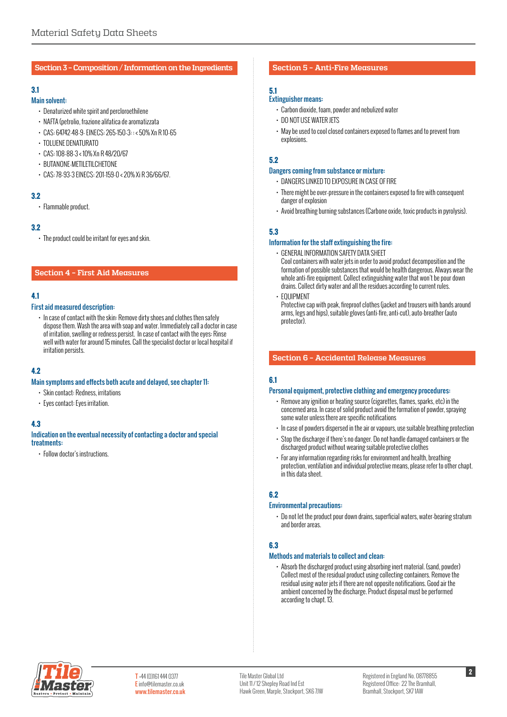#### **Section 3 – Composition / Information on the Ingredients**

## **3.1**

#### Main solvent:

- Denaturized white spirit and percloroethilene
- NAFTA (petrolio, frazione alifatica de aromatizzata
- CAS: 64742-48-9- EINECS: 265-150-3: : < 50% Xn R 10-65
- TOLUENE DENATURATO
- CAS: 108-88-3 < 10% Xn R 48/20/67
- BUTANONE-METILETILCHETONE
- CAS: 78-93-3 EINECS: 201-159-0 < 20% Xi R 36/66/67.

#### **3.2**

• Flammable product.

#### **3.2**

• The product could be irritant for eyes and skin.

## **Section 4 – First Aid Measures**

## **4.1**

#### First aid measured description:

• In case of contact with the skin: Remove dirty shoes and clothes then safely dispose them. Wash the area with soap and water. Immediately call a doctor in case of irritation, swelling or redness persist. In case of contact with the eyes: Rinse well with water for around 15 minutes. Call the specialist doctor or local hospital if irritation persists.

## **4.2**

#### Main symptoms and effects both acute and delayed, see chapter 11:

- Skin contact: Redness, irritations
- Eyes contact: Eyes irritation.

## **4.3**

#### Indication on the eventual necessity of contacting a doctor and special treatments:

• Follow doctor's instructions.

#### **Section 5 – Anti-Fire Measures**

## **5.1**

#### Extinguisher means:

- Carbon dioxide, foam, powder and nebulized water
- DO NOT USE WATER JETS
- May be used to cool closed containers exposed to flames and to prevent from explosions.

## **5.2**

#### Dangers coming from substance or mixture:

- DANGERS LINKED TO EXPOSURE IN CASE OF FIRE
- There might be over-pressure in the containers exposed to fire with consequent danger of explosion
- Avoid breathing burning substances (Carbone oxide, toxic products in pyrolysis).

## **5.3**

#### Information for the staff extinguishing the fire:

- GENERAL INFORMATION SAFETY DATA SHEET
- Cool containers with water jets in order to avoid product decomposition and the formation of possible substances that would be health dangerous. Always wear the whole anti-fire equipment. Collect extinguishing water that won't be pour down drains. Collect dirty water and all the residues according to current rules.
- **FOUIPMENT**

Protective cap with peak, fireproof clothes (jacket and trousers with bands around arms, legs and hips), suitable gloves (anti-fire, anti-cut), auto-breather (auto protector).

#### **Section 6 – Accidental Release Measures**

## **6.1**

#### Personal equipment, protective clothing and emergency procedures:

- Remove any ignition or heating source (cigarettes, flames, sparks, etc) in the concerned area. In case of solid product avoid the formation of powder, spraying some water unless there are specific notifications
- In case of powders dispersed in the air or vapours, use suitable breathing protection
- Stop the discharge if there's no danger. Do not handle damaged containers or the discharged product without wearing suitable protective clothes
- For any information regarding risks for environment and health, breathing protection, ventilation and individual protective means, please refer to other chapt. in this data sheet.

#### **6.2**

#### Environmental precautions:

• Do not let the product pour down drains, superficial waters, water-bearing stratum and border areas.

#### **6.3**

#### Methods and materials to collect and clean:

• Absorb the discharged product using absorbing inert material. (sand, powder) Collect most of the residual product using collecting containers. Remove the residual using water jets if there are not opposite notifications. Good air the ambient concerned by the discharge. Product disposal must be performed according to chapt. 13.

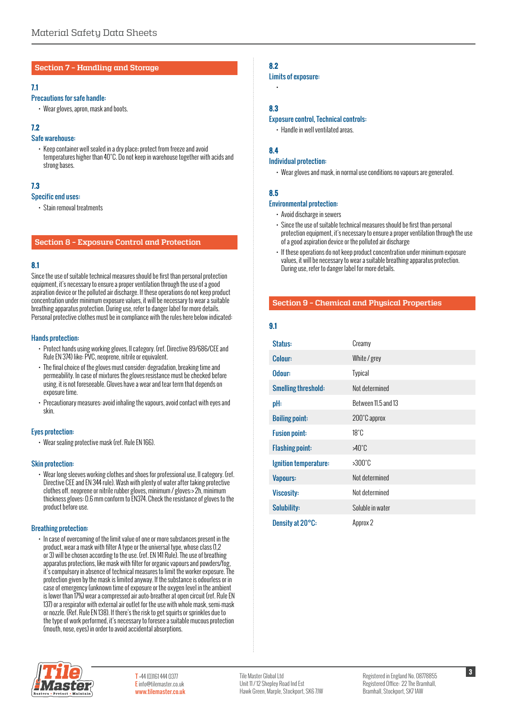#### **Section 7 – Handling and Storage**

#### **7.1**

## Precautions for safe handle:

• Wear gloves, apron, mask and boots.

## **7.2**

#### Safe warehouse:

• Keep container well sealed in a dry place; protect from freeze and avoid temperatures higher than 40°C. Do not keep in warehouse together with acids and strong bases.

## **7.3**

#### Specific end uses:

• Stain removal treatments

## **Section 8 – Exposure Control and Protection**

## **8.1**

Since the use of suitable technical measures should be first than personal protection equipment, it's necessary to ensure a proper ventilation through the use of a good aspiration device or the polluted air discharge. If these operations do not keep product concentration under minimum exposure values, it will be necessary to wear a suitable breathing apparatus protection. During use, refer to danger label for more details. Personal protective clothes must be in compliance with the rules here below indicated:

#### Hands protection:

- Protect hands using working gloves, II category. (ref. Directive 89/686/CEE and Rule EN 374) like: PVC, neoprene, nitrile or equivalent.
- The final choice of the gloves must consider: degradation, breaking time and permeability. In case of mixtures the gloves resistance must be checked before using, it is not foreseeable. Gloves have a wear and tear term that depends on exposure time.
- Precautionary measures: avoid inhaling the vapours, avoid contact with eyes and skin.

#### Eyes protection:

• Wear sealing protective mask (ref. Rule EN 166).

#### Skin protection:

• Wear long sleeves working clothes and shoes for professional use, II category. (ref. Directive CEE and EN 344 rule). Wash with plenty of water after taking protective clothes off. neoprene or nitrile rubber gloves, minimum / gloves:> 2h, minimum thickness gloves: 0.6 mm conform to EN374. Check the resistance of gloves to the product before use.

#### Breathing protection:

• In case of overcoming of the limit value of one or more substances present in the product, wear a mask with filter A type or the universal type, whose class (1,2 or 3) will be chosen according to the use. (ref. EN 141 Rule). The use of breathing apparatus protections, like mask with filter for organic vapours and powders/fog, it's compulsory in absence of technical measures to limit the worker exposure. The protection given by the mask is limited anyway. If the substance is odourless or in case of emergency (unknown time of exposure or the oxygen level in the ambient is lower than 17%) wear a compressed air auto-breather at open circuit (ref. Rule EN 137) or a respirator with external air outlet for the use with whole mask, semi-mask or nozzle. (Ref. Rule EN 138). If there's the risk to get squirts or sprinkles due to the type of work performed, it's necessary to foresee a suitable mucous protection (mouth, nose, eyes) in order to avoid accidental absorptions.

## **8.2**

#### Limits of exposure:

## **8.3**

•

#### Exposure control, Technical controls:

• Handle in well ventilated areas.

## **8.4**

#### Individual protection:

• Wear gloves and mask, in normal use conditions no vapours are generated.

## **8.5**

#### Environmental protection:

- Avoid discharge in sewers
- Since the use of suitable technical measures should be first than personal protection equipment, it's necessary to ensure a proper ventilation through the use of a good aspiration device or the polluted air discharge
- If these operations do not keep product concentration under minimum exposure values, it will be necessary to wear a suitable breathing apparatus protection. During use, refer to danger label for more details.

## **Section 9 – Chemical and Physical Properties**

## **9.1**

| Status:                    | Creamy              |
|----------------------------|---------------------|
| Colour:                    | White / grey        |
| Odour:                     | Typical             |
| <b>Smelling threshold:</b> | Not determined      |
| pH:                        | Between 11.5 and 13 |
| <b>Boiling point:</b>      | 200°C approx        |
| <b>Fusion point:</b>       | $18^\circ$ C        |
| <b>Flashing point:</b>     | >40°C               |
| Ignition temperature:      | $>300^\circ$ C      |
| Vapours:                   | Not determined      |
| <b>Viscosity:</b>          | Not determined      |
| Solubility:                | Soluble in water    |
| Density at 20°C:           | Approx 2            |

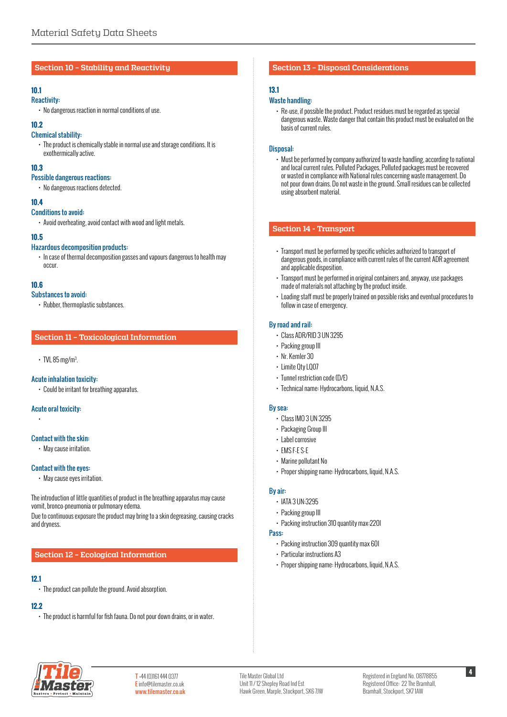#### **Section 10 – Stability and Reactivity**

## **10.1**

- Reactivity:
	- No dangerous reaction in normal conditions of use.

## **10.2**

## Chemical stability:

• The product is chemically stable in normal use and storage conditions. It is exothermically active.

## **10.3**

- Possible dangerous reactions:
	- No dangerous reactions detected.

## **10.4**

#### Conditions to avoid:

• Avoid overheating, avoid contact with wood and light metals.

## **10.5**

## Hazardous decomposition products:

• In case of thermal decomposition gasses and vapours dangerous to health may occur.

## **10.6**

- Substances to avoid:
	- Rubber, thermoplastic substances.

## **Section 11 – Toxicological Information**

#### $\cdot$  TVL 85 mg/m<sup>3</sup>. .

#### Acute inhalation toxicity:

• Could be irritant for breathing apparatus.

## Acute oral toxicity:

•

#### Contact with the skin:

• May cause irritation.

## Contact with the eyes:

• May cause eyes irritation.

The introduction of little quantities of product in the breathing apparatus may cause vomit, bronco-pneumonia or pulmonary edema.

Due to continuous exposure the product may bring to a skin degreasing, causing cracks and dryness.

## **Section 12 – Ecological Information**

## **12.1**

• The product can pollute the ground. Avoid absorption.

#### **12.2**

• The product is harmful for fish fauna. Do not pour down drains, or in water.

## **Section 13 – Disposal Considerations**

## **13.1**

## Waste handling:

• Re-use, if possible the product. Product residues must be regarded as special dangerous waste. Waste danger that contain this product must be evaluated on the basis of current rules.

## Disposal:

• Must be performed by company authorized to waste handling, according to national and local current rules. Polluted Packages, Polluted packages must be recovered or wasted in compliance with National rules concerning waste management. Do not pour down drains. Do not waste in the ground. Small residues can be collected using absorbent material.

## **Section 14 - Transport**

- Transport must be performed by specific vehicles authorized to transport of dangerous goods, in compliance with current rules of the current ADR agreement and applicable disposition.
- Transport must be performed in original containers and, anyway, use packages made of materials not attaching by the product inside.
- Loading staff must be properly trained on possible risks and eventual procedures to follow in case of emergency.

## By road and rail:

- Class ADR/RID 3 UN 3295
- Packing group III
- Nr. Kemler 30
- Limite Qty LQ07
- Tunnel restriction code (D/E)
- Technical name: Hydrocarbons, liquid, N.A.S.

#### By sea:

- Class IMO 3 UN 3295
- Packaging Group III
- Label corrosive
- EMS F-E S-E
- Marine pollutant No
- Proper shipping name: Hydrocarbons, liquid, N.A.S.

#### By air:

- IATA 3 UN:3295
- Packing group III
- Packing instruction 310 quantity max:220l

## Pass:

- Packing instruction 309 quantity max 60l
- Particular instructions A3
- Proper shipping name: Hydrocarbons, liquid, N.A.S.